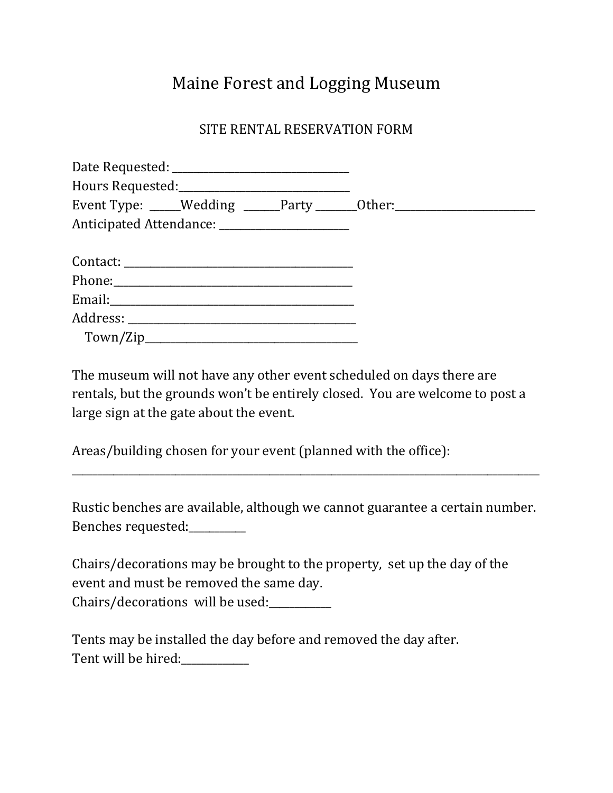## Maine Forest and Logging Museum

## SITE RENTAL RESERVATION FORM

|                                                |  | Event Type: ____Wedding _____Party ______Other: ________________________________ |  |
|------------------------------------------------|--|----------------------------------------------------------------------------------|--|
| Anticipated Attendance: ______________________ |  |                                                                                  |  |
|                                                |  |                                                                                  |  |
|                                                |  |                                                                                  |  |
|                                                |  |                                                                                  |  |
|                                                |  |                                                                                  |  |
|                                                |  |                                                                                  |  |

The museum will not have any other event scheduled on days there are rentals, but the grounds won't be entirely closed. You are welcome to post a large sign at the gate about the event.

Areas/building chosen for your event (planned with the office):

Rustic benches are available, although we cannot guarantee a certain number. Benches requested:\_\_\_\_\_\_\_\_\_\_\_

\_\_\_\_\_\_\_\_\_\_\_\_\_\_\_\_\_\_\_\_\_\_\_\_\_\_\_\_\_\_\_\_\_\_\_\_\_\_\_\_\_\_\_\_\_\_\_\_\_\_\_\_\_\_\_\_\_\_\_\_\_\_\_\_\_\_\_\_\_\_\_\_\_\_\_\_\_\_\_\_\_\_\_\_\_\_\_\_\_\_

Chairs/decorations may be brought to the property, set up the day of the event and must be removed the same day. Chairs/decorations will be used:

Tents may be installed the day before and removed the day after. Tent will be hired: